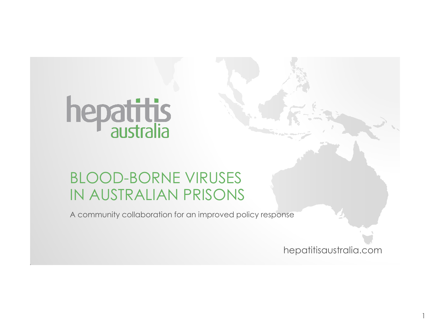## hepatitis

## BLOOD-BORNE VIRUSES IN AUSTRALIAN PRISONS

A community collaboration for an improved policy response

hepatitisaustralia.com

1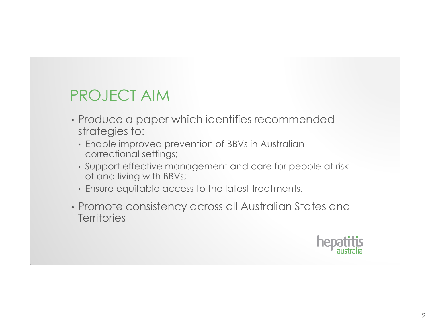## PROJECT AIM

- Produce a paper which identifies recommended strategies to:
	- Enable improved prevention of BBVs in Australian correctional settings;
	- Support effective management and care for people at risk of and living with BBVs;
	- Ensure equitable access to the latest treatments.
- Promote consistency across all Australian States and **Territories**

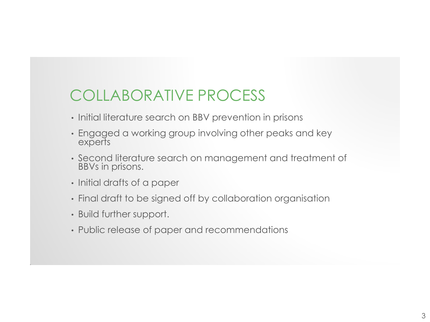## COLLABORATIVE PROCESS

- Initial literature search on BBV prevention in prisons
- Engaged a working group involving other peaks and key experts
- Second literature search on management and treatment of BBVs in prisons.
- Initial drafts of a paper
- Final draft to be signed off by collaboration organisation
- Build further support.
- Public release of paper and recommendations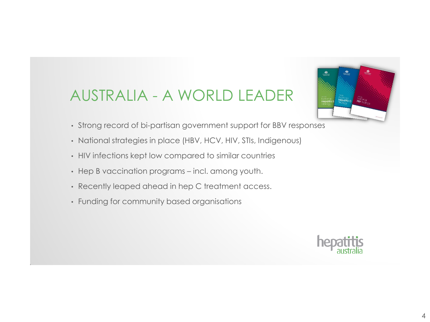## AUSTRALIA - A WORLD LEADER



- Strong record of bi-partisan government support for BBV responses
- National strategies in place (HBV, HCV, HIV, STIs, Indigenous)
- HIV infections kept low compared to similar countries
- Hep B vaccination programs incl. among youth.
- Recently leaped ahead in hep C treatment access.
- Funding for community based organisations

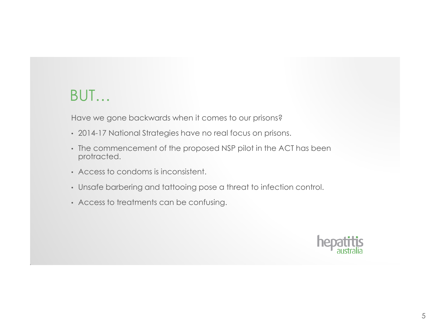## BUT…

Have we gone backwards when it comes to our prisons?

- 2014-17 National Strategies have no real focus on prisons.
- The commencement of the proposed NSP pilot in the ACT has been protracted.
- Access to condoms is inconsistent.
- Unsafe barbering and tattooing pose a threat to infection control.
- Access to treatments can be confusing.

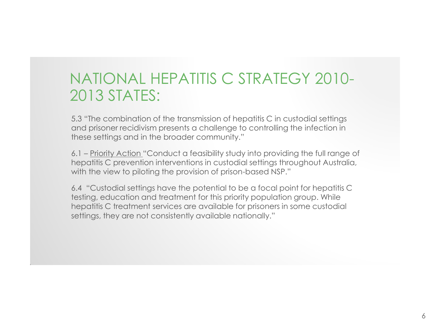## NATIONAL HEPATITIS C STRATEGY 2010- 2013 STATES:

5.3 "The combination of the transmission of hepatitis C in custodial settings and prisoner recidivism presents a challenge to controlling the infection in these settings and in the broader community."

6.1 – Priority Action "Conduct a feasibility study into providing the full range of hepatitis C prevention interventions in custodial settings throughout Australia, with the view to piloting the provision of prison-based NSP."

6.4 "Custodial settings have the potential to be a focal point for hepatitis C testing, education and treatment for this priority population group. While hepatitis C treatment services are available for prisoners in some custodial settings, they are not consistently available nationally."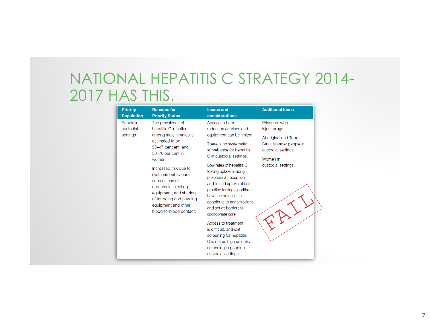## NATIONAL HEPATITIS C STRATEGY 2014- 2017 HAS THIS.

| <b>Priority</b>                    | <b>Reasons for</b>                                                                                                                                                                                | <b>Issues and</b>                                                                                                                                                                                                                              | <b>Additional focus</b>                                                                                                                        |  |
|------------------------------------|---------------------------------------------------------------------------------------------------------------------------------------------------------------------------------------------------|------------------------------------------------------------------------------------------------------------------------------------------------------------------------------------------------------------------------------------------------|------------------------------------------------------------------------------------------------------------------------------------------------|--|
| <b>Population</b>                  | <b>Priority Status</b>                                                                                                                                                                            | considerations                                                                                                                                                                                                                                 |                                                                                                                                                |  |
| People in<br>custodial<br>settings | The prevalence of<br>hepatitis C infection<br>among male inmates is<br>estimated to be<br>35-47 per cent, and<br>50-70 per cent in<br>women.                                                      | Access to harm-<br>reduction services and<br>equipment can be limited.                                                                                                                                                                         | Prisoners who<br>inject druas.<br>Aboriginal and Torres<br>Strait Islander people in<br>custodial settings.<br>Women in<br>custodial settings. |  |
|                                    |                                                                                                                                                                                                   | There is no systematic<br>surveillance for hepatitis<br>C in custodial settings.                                                                                                                                                               |                                                                                                                                                |  |
|                                    | Increased risk due to<br>systemic behaviours.<br>such as use of<br>non-sterile injecting<br>equipment, and sharing<br>of tattooing and piercing<br>equipment and other<br>blood-to-blood contact. | Low rates of hepatitis C<br>testing uptake among<br>prisoners at reception<br>and limited uptake of best<br>practice testing algorithms<br>have the potential to<br>contribute to transmissions<br>and act as barriers to<br>appropriate care. |                                                                                                                                                |  |
|                                    |                                                                                                                                                                                                   | Access to treatment<br>is difficult, and exit<br>screening for hepatitis<br>C is not as high as entry<br>screening in people in<br>custodial settings.                                                                                         |                                                                                                                                                |  |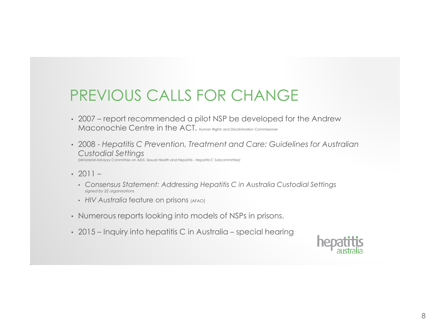## PREVIOUS CALLS FOR CHANGE

- 2007 report recommended a pilot NSP be developed for the Andrew Maconochie Centre in the ACT. Human Rights and Discrimination Commissioner
- 2008 *Hepatitis C Prevention, Treatment and Care: Guidelines for Australian Custodial Settings (Ministerial Advisory Committee on AIDS, Sexual Health and Hepatitis - Hepatitis C Subcommittee)*
- $2011 -$ 
	- *Consensus Statement: Addressing Hepatitis C in Australia Custodial Settings signed by 22 organisations*
	- *HIV Australia* feature on prisons (AFAO)
- Numerous reports looking into models of NSPs in prisons.
- 2015 Inquiry into hepatitis C in Australia special hearing

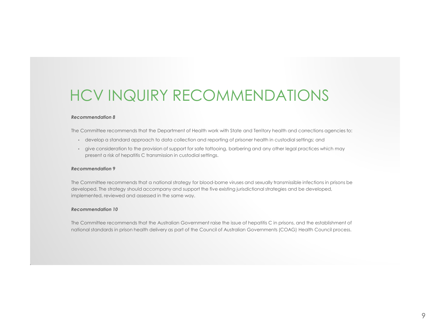## HCV INQUIRY RECOMMENDATIONS

#### *Recommendation 8*

The Committee recommends that the Department of Health work with State and Territory health and corrections agencies to:

- develop a standard approach to data collection and reporting of prisoner health in custodial settings; and
- give consideration to the provision of support for safe tattooing, barbering and any other legal practices which may present a risk of hepatitis C transmission in custodial settings.

#### *Recommendation 9*

The Committee recommends that a national strategy for blood-borne viruses and sexually transmissible infections in prisons be developed. The strategy should accompany and support the five existing jurisdictional strategies and be developed, implemented, reviewed and assessed in the same way.

#### *Recommendation 10*

The Committee recommends that the Australian Government raise the issue of hepatitis C in prisons, and the establishment of national standards in prison health delivery as part of the Council of Australian Governments (COAG) Health Council process.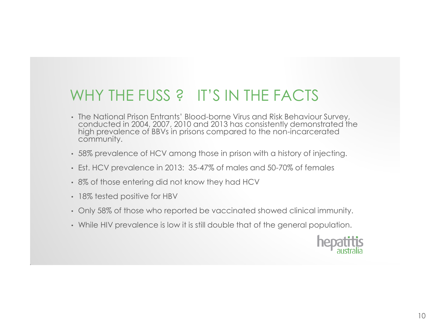## WHY THE FUSS ? IT'S IN THE FACTS

- The National Prison Entrants' Blood-borne Virus and Risk Behaviour Survey, conducted in 2004, 2007, 2010 and 2013 has consistently demonstrated the high prevalence of BBVs in prisons compared to the non-incarcerated community.
- 58% prevalence of HCV among those in prison with a history of injecting.
- Est. HCV prevalence in 2013: 35-47% of males and 50-70% of females
- 8% of those entering did not know they had HCV
- 18% tested positive for HBV
- Only 58% of those who reported be vaccinated showed clinical immunity.
- While HIV prevalence is low it is still double that of the general population.

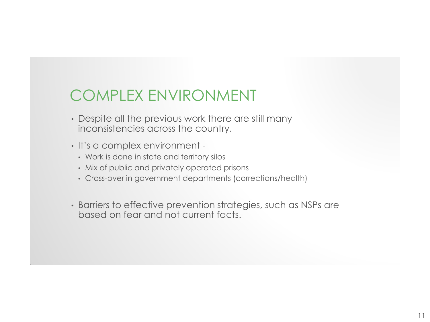## COMPLEX ENVIRONMENT

- Despite all the previous work there are still many inconsistencies across the country.
- It's a complex environment
	- Work is done in state and territory silos
	- Mix of public and privately operated prisons
	- Cross-over in government departments (corrections/health)
- Barriers to effective prevention strategies, such as NSPs are based on fear and not current facts.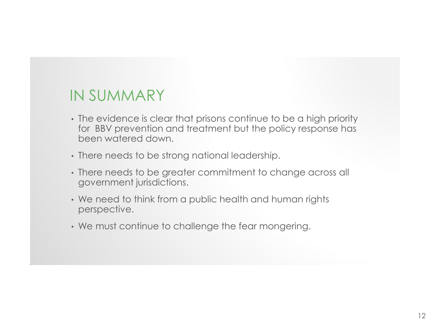## IN SUMMARY

- The evidence is clear that prisons continue to be a high priority for BBV prevention and treatment but the policy response has been watered down.
- There needs to be strong national leadership.
- There needs to be greater commitment to change across all government jurisdictions.
- We need to think from a public health and human rights perspective.
- We must continue to challenge the fear mongering.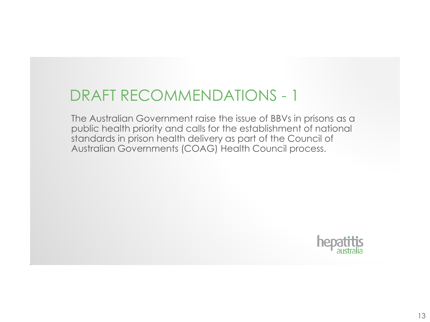## DRAFT RECOMMENDATIONS - 1

The Australian Government raise the issue of BBVs in prisons as a public health priority and calls for the establishment of national standards in prison health delivery as part of the Council of Australian Governments (COAG) Health Council process.

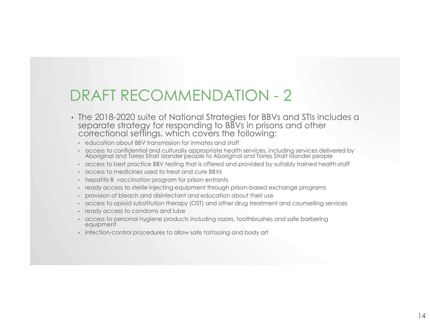## DRAFT RECOMMENDATION - 2

- The 2018-2020 suite of National Strategies for BBVs and STIs includes a separate strategy for responding to BBVs in prisons and other correctional settings, which covers the following:
	- education about BBV transmission for inmates and staff
	- access to confidential and culturally appropriate health services, including services delivered by Aboriginal and Torres Strait Islander people to Aboriginal and Torres Strait Islander people
	- access to best practice BBV testing that is offered and provided by suitably trained health staff
	- access to medicines used to treat and cure BBVs
	- hepatitis B vaccination program for prison entrants
	- ready access to sterile injecting equipment through prison-based exchange programs
	- provision of bleach and disinfectant and education about their use
	- access to opioid substitution therapy (OST) and other drug treatment and counselling services
	- ready access to condoms and lube
	- access to personal hygiene products including razors, toothbrushes and safe barbering equipment
	- infection-control procedures to allow safe tattooing and body art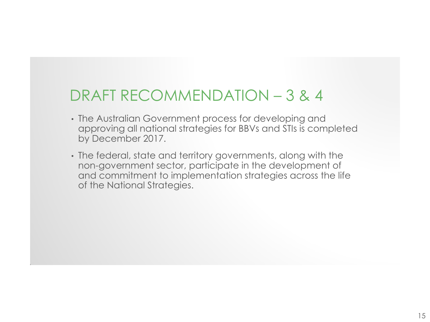## DRAFT RECOMMENDATION – 3 & 4

- The Australian Government process for developing and approving all national strategies for BBVs and STIs is completed by December 2017.
- The federal, state and territory governments, along with the non-government sector, participate in the development of and commitment to implementation strategies across the life of the National Strategies.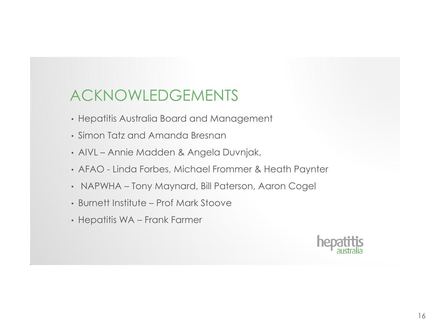## ACKNOWLEDGEMENTS

- Hepatitis Australia Board and Management
- Simon Tatz and Amanda Bresnan
- AIVL Annie Madden & Angela Duvnjak,
- AFAO Linda Forbes, Michael Frommer & Heath Paynter
- NAPWHA Tony Maynard, Bill Paterson, Aaron Cogel
- Burnett Institute Prof Mark Stoove
- Hepatitis WA Frank Farmer